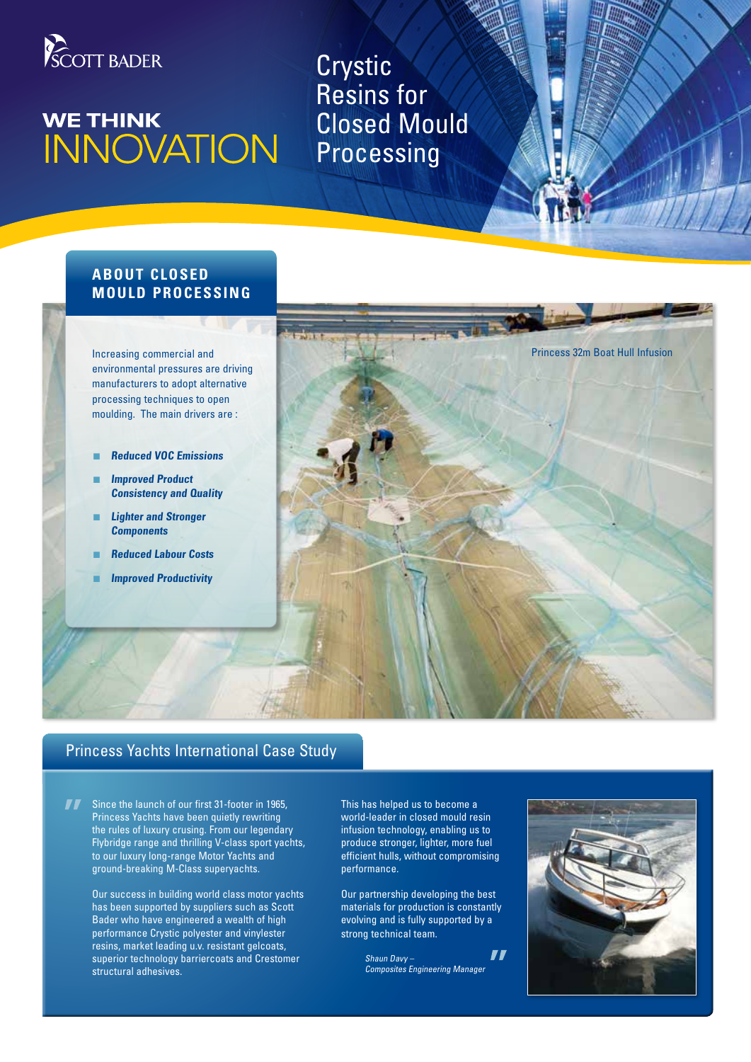

# **WE THINK** WE THINK<br>INNOVATION

Crystic Resins for Closed Mould **Processing** 

# **ABOUT CLOSED MOULD PROCESSING**

Increasing commercial and environmental pressures are driving manufacturers to adopt alternative processing techniques to open moulding. The main drivers are :

- n **Reduced VOC Emissions**
- **Improved Product Consistency and Quality**
- **Lighter and Stronger Components**
- **Reduced Labour Costs**
- **Improved Productivity**



# Princess Yachts International Case Study

Since the launch of our first 31-footer in 1965, Princess Yachts have been quietly rewriting the rules of luxury crusing. From our legendary Flybridge range and thrilling V-class sport yachts, to our luxury long-range Motor Yachts and ground-breaking M-Class superyachts.

> Our success in building world class motor yachts has been supported by suppliers such as Scott Bader who have engineered a wealth of high performance Crystic polyester and vinylester resins, market leading u.v. resistant gelcoats, superior technology barriercoats and Crestomer structural adhesives.

This has helped us to become a world-leader in closed mould resin infusion technology, enabling us to produce stronger, lighter, more fuel efficient hulls, without compromising performance.

Our partnership developing the best materials for production is constantly evolving and is fully supported by a strong technical team.

> $\bf{H}$ Shaun Davy – Composites Engineering Manager

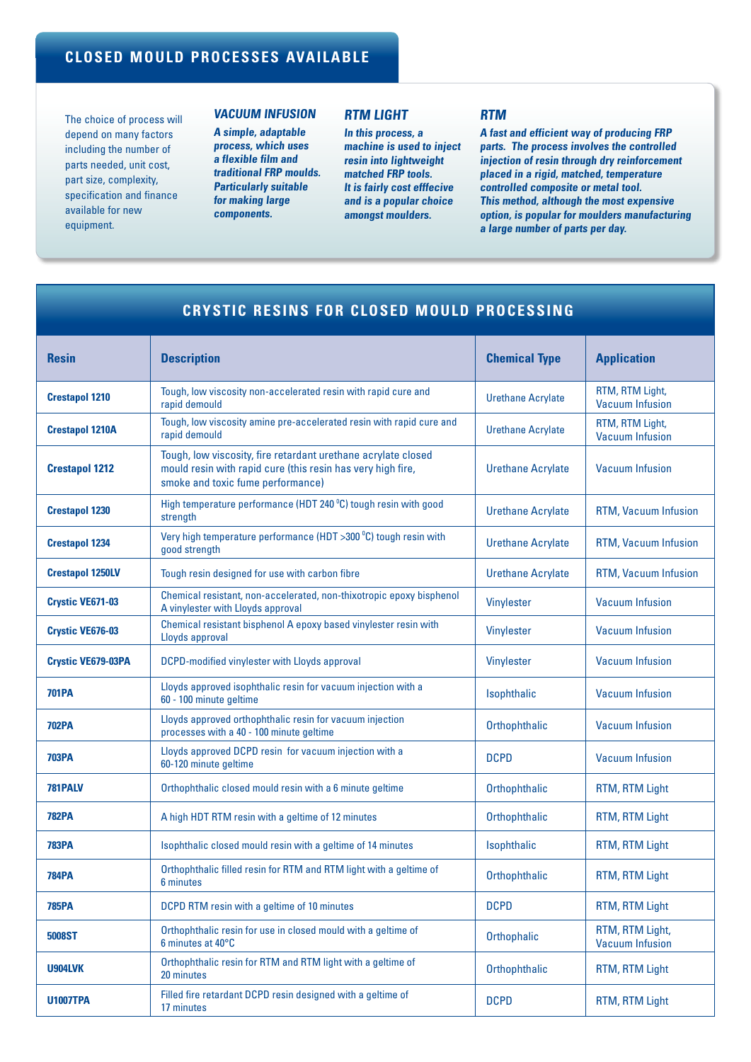# **CLOSED MOULD PROCESSES AVAILABLE**

The choice of process will depend on many factors including the number of parts needed, unit cost, part size, complexity, specification and finance available for new equipment.

## **Vacuum Infusion**

**A simple, adaptable process, which uses a flexible film and traditional FRP moulds. Particularly suitable for making large components.**

## **RTM Light**

**In this process, a machine is used to inject resin into lightweight matched FRP tools. It is fairly cost efffecive and is a popular choice amongst moulders.**

### **RTM**

**A fast and efficient way of producing FRP parts. The process involves the controlled injection of resin through dry reinforcement placed in a rigid, matched, temperature controlled composite or metal tool. This method, although the most expensive option, is popular for moulders manufacturing a large number of parts per day.**

| CRYSTIC RESINS FOR CLOSED MOULD PROCESSING |                                                                                                                                                                   |                          |                                           |
|--------------------------------------------|-------------------------------------------------------------------------------------------------------------------------------------------------------------------|--------------------------|-------------------------------------------|
| <b>Resin</b>                               | <b>Description</b>                                                                                                                                                | <b>Chemical Type</b>     | <b>Application</b>                        |
| <b>Crestapol 1210</b>                      | Tough, low viscosity non-accelerated resin with rapid cure and<br>rapid demould                                                                                   | <b>Urethane Acrylate</b> | RTM, RTM Light,<br><b>Vacuum Infusion</b> |
| <b>Crestapol 1210A</b>                     | Tough, low viscosity amine pre-accelerated resin with rapid cure and<br>rapid demould                                                                             | <b>Urethane Acrylate</b> | RTM, RTM Light,<br><b>Vacuum Infusion</b> |
| <b>Crestapol 1212</b>                      | Tough, low viscosity, fire retardant urethane acrylate closed<br>mould resin with rapid cure (this resin has very high fire,<br>smoke and toxic fume performance) | <b>Urethane Acrylate</b> | <b>Vacuum Infusion</b>                    |
| <b>Crestapol 1230</b>                      | High temperature performance (HDT 240 °C) tough resin with good<br>strength                                                                                       | <b>Urethane Acrylate</b> | RTM, Vacuum Infusion                      |
| <b>Crestapol 1234</b>                      | Very high temperature performance (HDT >300 °C) tough resin with<br>good strength                                                                                 | <b>Urethane Acrylate</b> | RTM, Vacuum Infusion                      |
| <b>Crestapol 1250LV</b>                    | Tough resin designed for use with carbon fibre                                                                                                                    | <b>Urethane Acrylate</b> | RTM, Vacuum Infusion                      |
| <b>Crystic VE671-03</b>                    | Chemical resistant, non-accelerated, non-thixotropic epoxy bisphenol<br>A vinylester with Lloyds approval                                                         | Vinylester               | <b>Vacuum Infusion</b>                    |
| Crystic VE676-03                           | Chemical resistant bisphenol A epoxy based vinylester resin with<br>Lloyds approval                                                                               | Vinylester               | <b>Vacuum Infusion</b>                    |
| <b>Crystic VE679-03PA</b>                  | <b>DCPD-modified vinylester with Lloyds approval</b>                                                                                                              | Vinylester               | <b>Vacuum Infusion</b>                    |
| <b>701PA</b>                               | Lloyds approved isophthalic resin for vacuum injection with a<br>60 - 100 minute geltime                                                                          | Isophthalic              | <b>Vacuum Infusion</b>                    |
| <b>702PA</b>                               | Lloyds approved orthophthalic resin for vacuum injection<br>processes with a 40 - 100 minute geltime                                                              | Orthophthalic            | <b>Vacuum Infusion</b>                    |
| <b>703PA</b>                               | Lloyds approved DCPD resin for vacuum injection with a<br>60-120 minute geltime                                                                                   | <b>DCPD</b>              | <b>Vacuum Infusion</b>                    |
| 781PALV                                    | Orthophthalic closed mould resin with a 6 minute geltime                                                                                                          | Orthophthalic            | RTM, RTM Light                            |
| <b>782PA</b>                               | A high HDT RTM resin with a geltime of 12 minutes                                                                                                                 | Orthophthalic            | RTM, RTM Light                            |
| <b>783PA</b>                               | Isophthalic closed mould resin with a geltime of 14 minutes                                                                                                       | Isophthalic              | RTM, RTM Light                            |
| <b>784PA</b>                               | Orthophthalic filled resin for RTM and RTM light with a geltime of<br>6 minutes                                                                                   | Orthophthalic            | RTM, RTM Light                            |
| <b>785PA</b>                               | DCPD RTM resin with a geltime of 10 minutes                                                                                                                       | <b>DCPD</b>              | RTM, RTM Light                            |
| 5008ST                                     | Orthophthalic resin for use in closed mould with a geltime of<br>6 minutes at 40°C                                                                                | Orthophalic              | RTM, RTM Light,<br><b>Vacuum Infusion</b> |
| <b>U904LVK</b>                             | Orthophthalic resin for RTM and RTM light with a geltime of<br>20 minutes                                                                                         | Orthophthalic            | RTM, RTM Light                            |
| <b>U1007TPA</b>                            | Filled fire retardant DCPD resin designed with a geltime of<br>17 minutes                                                                                         | <b>DCPD</b>              | RTM, RTM Light                            |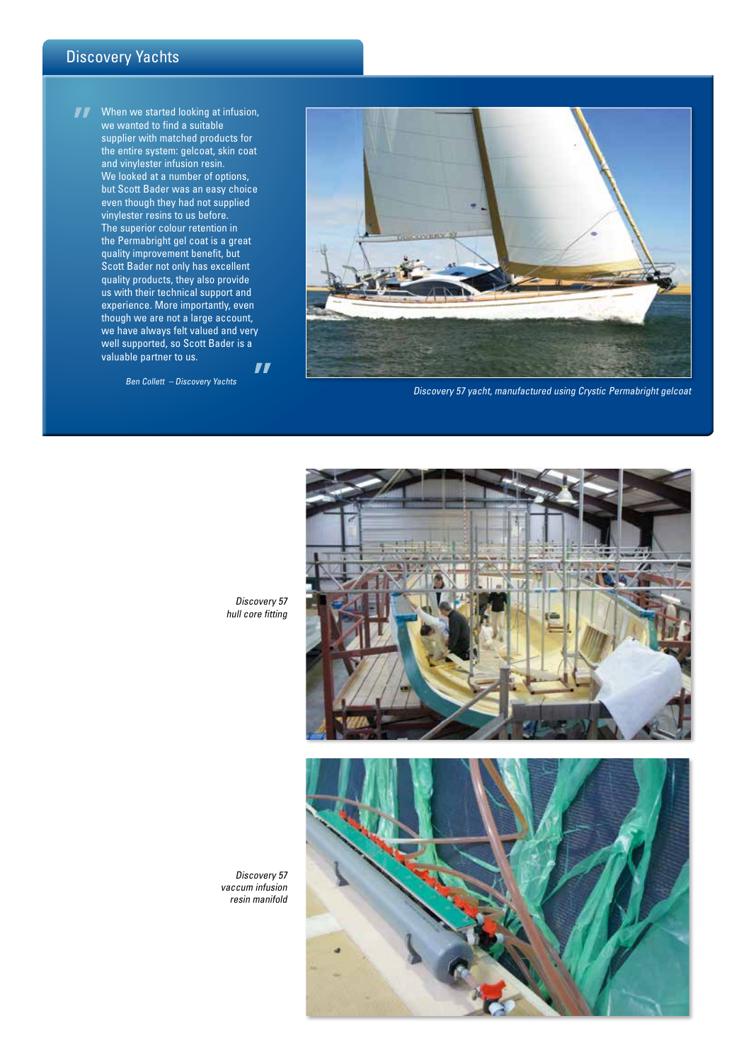# Discovery Yachts

 $\boldsymbol{H}$ When we started looking at infusion, we wanted to find a suitable supplier with matched products for the entire system: gelcoat, skin coat and vinylester infusion resin. We looked at a number of options, but Scott Bader was an easy choice even though they had not supplied vinylester resins to us before. The superior colour retention in the Permabright gel coat is a great quality improvement benefit, but Scott Bader not only has excellent quality products, they also provide us with their technical support and experience. More importantly, even though we are not a large account, we have always felt valued and very well supported, so Scott Bader is a valuable partner to us.  $\blacksquare$ 

Ben Collett – Discovery Yachts



Discovery 57 yacht, manufactured using Crystic Permabright gelcoat



Discovery 57 hull core fitting

Discovery 57 vaccum infusion resin manifold